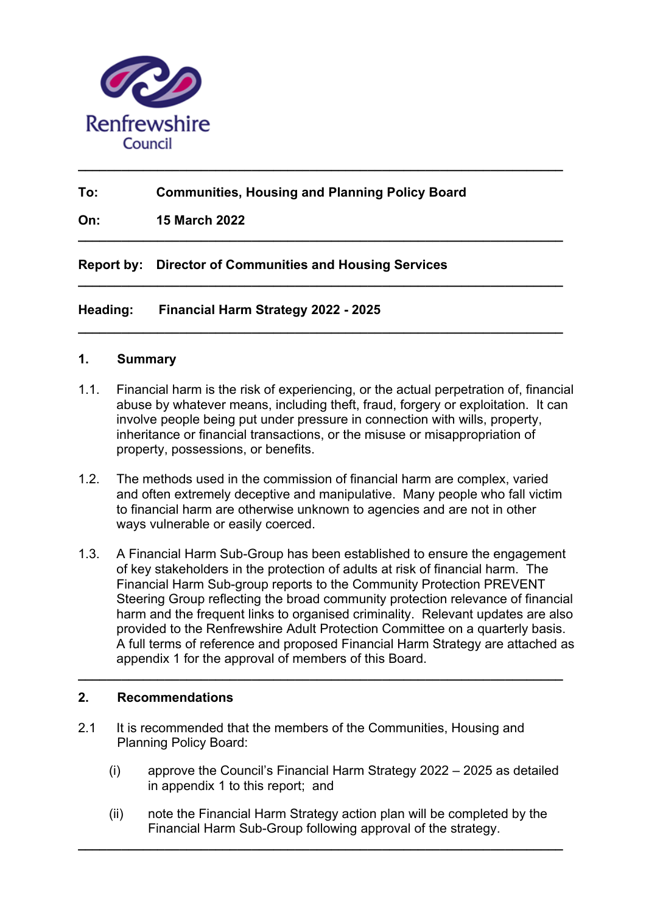

# **To: Communities, Housing and Planning Policy Board**

**\_\_\_\_\_\_\_\_\_\_\_\_\_\_\_\_\_\_\_\_\_\_\_\_\_\_\_\_\_\_\_\_\_\_\_\_\_\_\_\_\_\_\_\_\_\_\_\_\_\_\_\_\_\_\_\_\_\_\_\_\_\_\_\_\_\_\_** 

**\_\_\_\_\_\_\_\_\_\_\_\_\_\_\_\_\_\_\_\_\_\_\_\_\_\_\_\_\_\_\_\_\_\_\_\_\_\_\_\_\_\_\_\_\_\_\_\_\_\_\_\_\_\_\_\_\_\_\_\_\_\_\_\_\_\_\_** 

**\_\_\_\_\_\_\_\_\_\_\_\_\_\_\_\_\_\_\_\_\_\_\_\_\_\_\_\_\_\_\_\_\_\_\_\_\_\_\_\_\_\_\_\_\_\_\_\_\_\_\_\_\_\_\_\_\_\_\_\_\_\_\_\_\_\_\_** 

**\_\_\_\_\_\_\_\_\_\_\_\_\_\_\_\_\_\_\_\_\_\_\_\_\_\_\_\_\_\_\_\_\_\_\_\_\_\_\_\_\_\_\_\_\_\_\_\_\_\_\_\_\_\_\_\_\_\_\_\_\_\_\_\_\_\_\_** 

**On: 15 March 2022**

**Report by: Director of Communities and Housing Services**

**Heading: Financial Harm Strategy 2022 - 2025** 

#### **1. Summary**

- 1.1. Financial harm is the risk of experiencing, or the actual perpetration of, financial abuse by whatever means, including theft, fraud, forgery or exploitation. It can involve people being put under pressure in connection with wills, property, inheritance or financial transactions, or the misuse or misappropriation of property, possessions, or benefits.
- 1.2. The methods used in the commission of financial harm are complex, varied and often extremely deceptive and manipulative. Many people who fall victim to financial harm are otherwise unknown to agencies and are not in other ways vulnerable or easily coerced.
- 1.3. A Financial Harm Sub-Group has been established to ensure the engagement of key stakeholders in the protection of adults at risk of financial harm. The Financial Harm Sub-group reports to the Community Protection PREVENT Steering Group reflecting the broad community protection relevance of financial harm and the frequent links to organised criminality. Relevant updates are also provided to the Renfrewshire Adult Protection Committee on a quarterly basis. A full terms of reference and proposed Financial Harm Strategy are attached as appendix 1 for the approval of members of this Board.

**\_\_\_\_\_\_\_\_\_\_\_\_\_\_\_\_\_\_\_\_\_\_\_\_\_\_\_\_\_\_\_\_\_\_\_\_\_\_\_\_\_\_\_\_\_\_\_\_\_\_\_\_\_\_\_\_\_\_\_\_\_\_\_\_\_\_\_** 

#### **2. Recommendations**

- 2.1 It is recommended that the members of the Communities, Housing and Planning Policy Board:
	- (i) approve the Council's Financial Harm Strategy 2022 2025 as detailed in appendix 1 to this report; and
	- (ii) note the Financial Harm Strategy action plan will be completed by the Financial Harm Sub-Group following approval of the strategy.

**\_\_\_\_\_\_\_\_\_\_\_\_\_\_\_\_\_\_\_\_\_\_\_\_\_\_\_\_\_\_\_\_\_\_\_\_\_\_\_\_\_\_\_\_\_\_\_\_\_\_\_\_\_\_\_\_\_\_\_\_\_\_\_\_\_\_\_**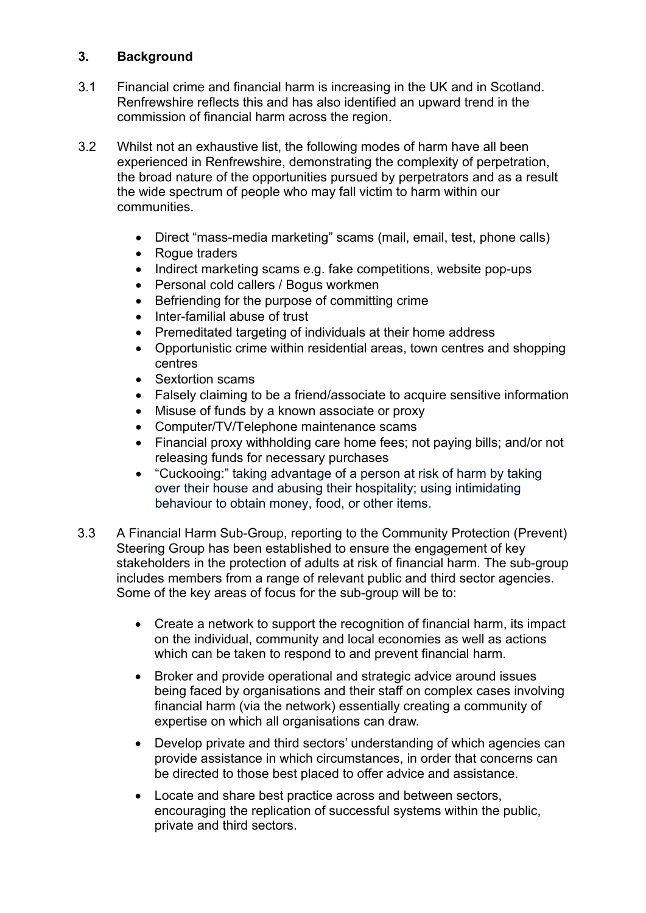# **3. Background**

- 3.1 Financial crime and financial harm is increasing in the UK and in Scotland. Renfrewshire reflects this and has also identified an upward trend in the commission of financial harm across the region.
- 3.2 Whilst not an exhaustive list, the following modes of harm have all been experienced in Renfrewshire, demonstrating the complexity of perpetration, the broad nature of the opportunities pursued by perpetrators and as a result the wide spectrum of people who may fall victim to harm within our communities.
	- Direct "mass-media marketing" scams (mail, email, test, phone calls)
	- Roque traders
	- Indirect marketing scams e.g. fake competitions, website pop-ups
	- Personal cold callers / Bogus workmen
	- Befriending for the purpose of committing crime
	- Inter-familial abuse of trust
	- Premeditated targeting of individuals at their home address
	- Opportunistic crime within residential areas, town centres and shopping centres
	- Sextortion scams
	- Falsely claiming to be a friend/associate to acquire sensitive information
	- Misuse of funds by a known associate or proxy
	- Computer/TV/Telephone maintenance scams
	- Financial proxy withholding care home fees; not paying bills; and/or not releasing funds for necessary purchases
	- "Cuckooing:" taking advantage of a person at risk of harm by taking over their house and abusing their hospitality; using intimidating behaviour to obtain money, food, or other items.
- 3.3 A Financial Harm Sub-Group, reporting to the Community Protection (Prevent) Steering Group has been established to ensure the engagement of key stakeholders in the protection of adults at risk of financial harm. The sub-group includes members from a range of relevant public and third sector agencies. Some of the key areas of focus for the sub-group will be to:
	- Create a network to support the recognition of financial harm, its impact on the individual, community and local economies as well as actions which can be taken to respond to and prevent financial harm.
	- Broker and provide operational and strategic advice around issues being faced by organisations and their staff on complex cases involving financial harm (via the network) essentially creating a community of expertise on which all organisations can draw.
	- Develop private and third sectors' understanding of which agencies can provide assistance in which circumstances, in order that concerns can be directed to those best placed to offer advice and assistance.
	- Locate and share best practice across and between sectors, encouraging the replication of successful systems within the public, private and third sectors.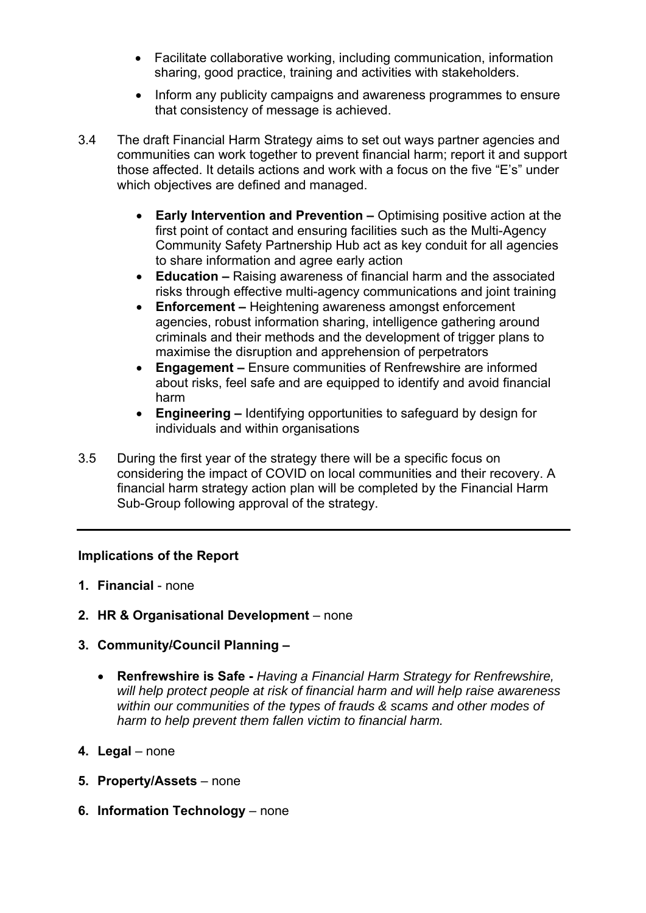- Facilitate collaborative working, including communication, information sharing, good practice, training and activities with stakeholders.
- Inform any publicity campaigns and awareness programmes to ensure that consistency of message is achieved.
- 3.4 The draft Financial Harm Strategy aims to set out ways partner agencies and communities can work together to prevent financial harm; report it and support those affected. It details actions and work with a focus on the five "E's" under which objectives are defined and managed.
	- **Early Intervention and Prevention** Optimising positive action at the first point of contact and ensuring facilities such as the Multi-Agency Community Safety Partnership Hub act as key conduit for all agencies to share information and agree early action
	- **Education** Raising awareness of financial harm and the associated risks through effective multi-agency communications and joint training
	- **Enforcement** Heightening awareness amongst enforcement agencies, robust information sharing, intelligence gathering around criminals and their methods and the development of trigger plans to maximise the disruption and apprehension of perpetrators
	- **Engagement** Ensure communities of Renfrewshire are informed about risks, feel safe and are equipped to identify and avoid financial harm
	- **Engineering** Identifying opportunities to safeguard by design for individuals and within organisations
- 3.5 During the first year of the strategy there will be a specific focus on considering the impact of COVID on local communities and their recovery. A financial harm strategy action plan will be completed by the Financial Harm Sub-Group following approval of the strategy.

#### **Implications of the Report**

- **1. Financial** none
- **2. HR & Organisational Development** none
- **3. Community/Council Planning** 
	- **Renfrewshire is Safe** *Having a Financial Harm Strategy for Renfrewshire, will help protect people at risk of financial harm and will help raise awareness within our communities of the types of frauds & scams and other modes of harm to help prevent them fallen victim to financial harm.*
- **4. Legal** none
- **5. Property/Assets** none
- **6. Information Technology** none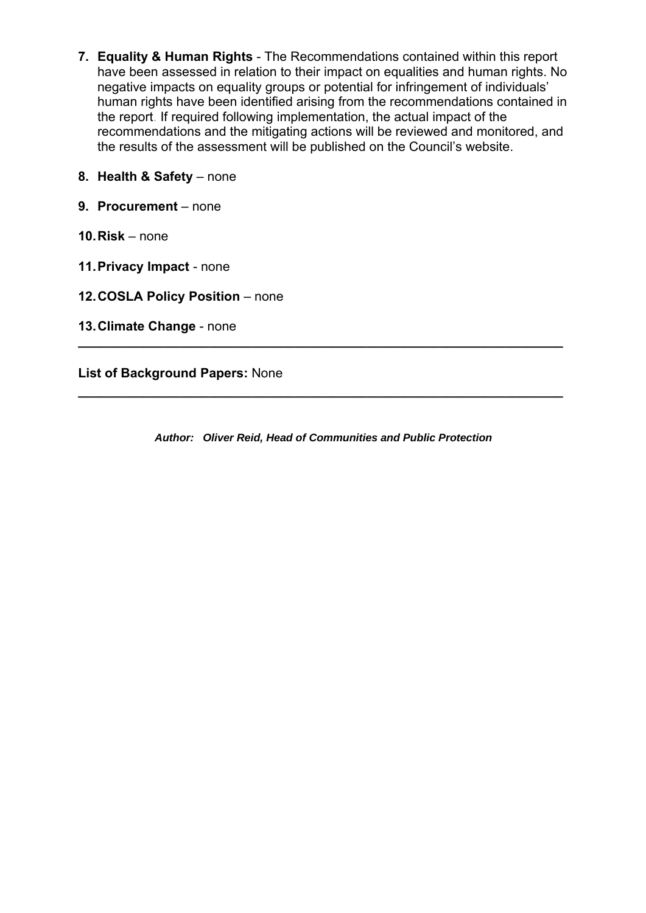- **7. Equality & Human Rights** The Recommendations contained within this report have been assessed in relation to their impact on equalities and human rights. No negative impacts on equality groups or potential for infringement of individuals' human rights have been identified arising from the recommendations contained in the report. If required following implementation, the actual impact of the recommendations and the mitigating actions will be reviewed and monitored, and the results of the assessment will be published on the Council's website.
- **8. Health & Safety** none
- **9. Procurement** none
- **10. Risk** none
- **11. Privacy Impact** none
- **12. COSLA Policy Position** none
- **13. Climate Change** none

**List of Background Papers:** None

*Author: Oliver Reid, Head of Communities and Public Protection* 

**\_\_\_\_\_\_\_\_\_\_\_\_\_\_\_\_\_\_\_\_\_\_\_\_\_\_\_\_\_\_\_\_\_\_\_\_\_\_\_\_\_\_\_\_\_\_\_\_\_\_\_\_\_\_\_\_\_\_\_\_\_\_\_\_\_\_\_** 

**\_\_\_\_\_\_\_\_\_\_\_\_\_\_\_\_\_\_\_\_\_\_\_\_\_\_\_\_\_\_\_\_\_\_\_\_\_\_\_\_\_\_\_\_\_\_\_\_\_\_\_\_\_\_\_\_\_\_\_\_\_\_\_\_\_\_\_**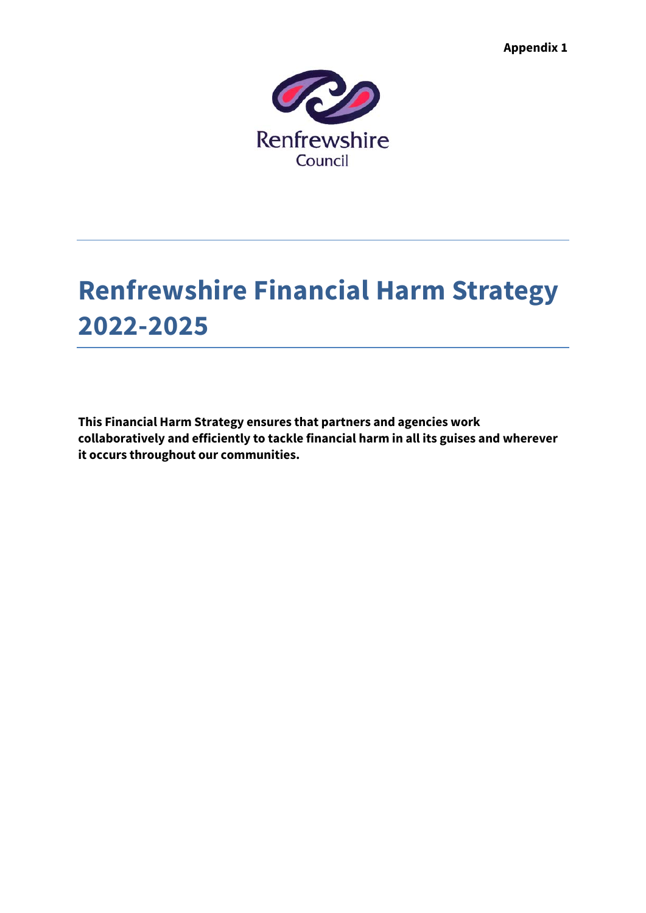**Appendix 1** 



# **Renfrewshire Financial Harm Strategy 2022-2025**

**This Financial Harm Strategy ensures that partners and agencies work collaboratively and efficiently to tackle financial harm in all its guises and wherever it occurs throughout our communities.**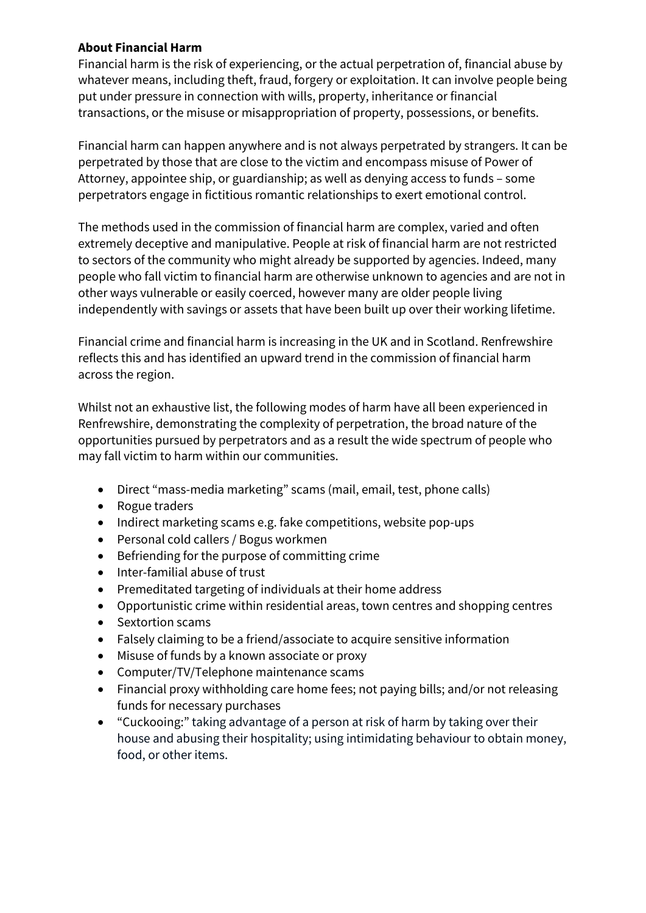# **About Financial Harm**

Financial harm is the risk of experiencing, or the actual perpetration of, financial abuse by whatever means, including theft, fraud, forgery or exploitation. It can involve people being put under pressure in connection with wills, property, inheritance or financial transactions, or the misuse or misappropriation of property, possessions, or benefits.

Financial harm can happen anywhere and is not always perpetrated by strangers. It can be perpetrated by those that are close to the victim and encompass misuse of Power of Attorney, appointee ship, or guardianship; as well as denying access to funds – some perpetrators engage in fictitious romantic relationships to exert emotional control.

The methods used in the commission of financial harm are complex, varied and often extremely deceptive and manipulative. People at risk of financial harm are not restricted to sectors of the community who might already be supported by agencies. Indeed, many people who fall victim to financial harm are otherwise unknown to agencies and are not in other ways vulnerable or easily coerced, however many are older people living independently with savings or assets that have been built up over their working lifetime.

Financial crime and financial harm is increasing in the UK and in Scotland. Renfrewshire reflects this and has identified an upward trend in the commission of financial harm across the region.

Whilst not an exhaustive list, the following modes of harm have all been experienced in Renfrewshire, demonstrating the complexity of perpetration, the broad nature of the opportunities pursued by perpetrators and as a result the wide spectrum of people who may fall victim to harm within our communities.

- Direct "mass-media marketing" scams (mail, email, test, phone calls)
- Rogue traders
- Indirect marketing scams e.g. fake competitions, website pop-ups
- Personal cold callers / Bogus workmen
- Befriending for the purpose of committing crime
- Inter-familial abuse of trust
- Premeditated targeting of individuals at their home address
- Opportunistic crime within residential areas, town centres and shopping centres
- Sextortion scams
- Falsely claiming to be a friend/associate to acquire sensitive information
- Misuse of funds by a known associate or proxy
- Computer/TV/Telephone maintenance scams
- Financial proxy withholding care home fees; not paying bills; and/or not releasing funds for necessary purchases
- "Cuckooing:" taking advantage of a person at risk of harm by taking over their house and abusing their hospitality; using intimidating behaviour to obtain money, food, or other items.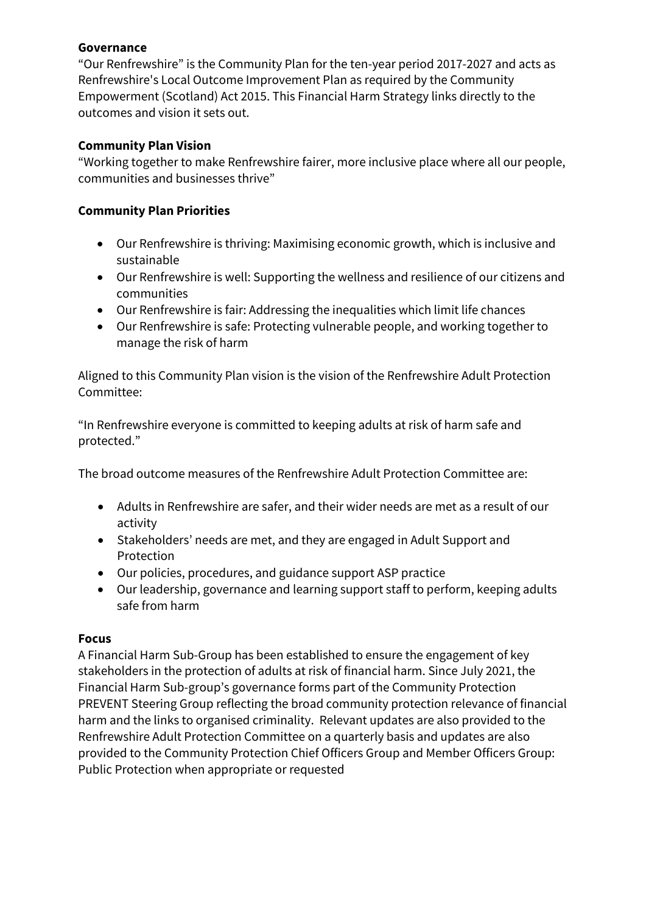# **Governance**

"Our Renfrewshire" is the Community Plan for the ten-year period 2017-2027 and acts as Renfrewshire's Local Outcome Improvement Plan as required by the Community Empowerment (Scotland) Act 2015. This Financial Harm Strategy links directly to the outcomes and vision it sets out.

# **Community Plan Vision**

"Working together to make Renfrewshire fairer, more inclusive place where all our people, communities and businesses thrive"

# **Community Plan Priorities**

- Our Renfrewshire is thriving: Maximising economic growth, which is inclusive and sustainable
- Our Renfrewshire is well: Supporting the wellness and resilience of our citizens and communities
- Our Renfrewshire is fair: Addressing the inequalities which limit life chances
- Our Renfrewshire is safe: Protecting vulnerable people, and working together to manage the risk of harm

Aligned to this Community Plan vision is the vision of the Renfrewshire Adult Protection Committee:

"In Renfrewshire everyone is committed to keeping adults at risk of harm safe and protected."

The broad outcome measures of the Renfrewshire Adult Protection Committee are:

- Adults in Renfrewshire are safer, and their wider needs are met as a result of our activity
- Stakeholders' needs are met, and they are engaged in Adult Support and Protection
- Our policies, procedures, and guidance support ASP practice
- Our leadership, governance and learning support staff to perform, keeping adults safe from harm

# **Focus**

A Financial Harm Sub-Group has been established to ensure the engagement of key stakeholders in the protection of adults at risk of financial harm. Since July 2021, the Financial Harm Sub-group's governance forms part of the Community Protection PREVENT Steering Group reflecting the broad community protection relevance of financial harm and the links to organised criminality. Relevant updates are also provided to the Renfrewshire Adult Protection Committee on a quarterly basis and updates are also provided to the Community Protection Chief Officers Group and Member Officers Group: Public Protection when appropriate or requested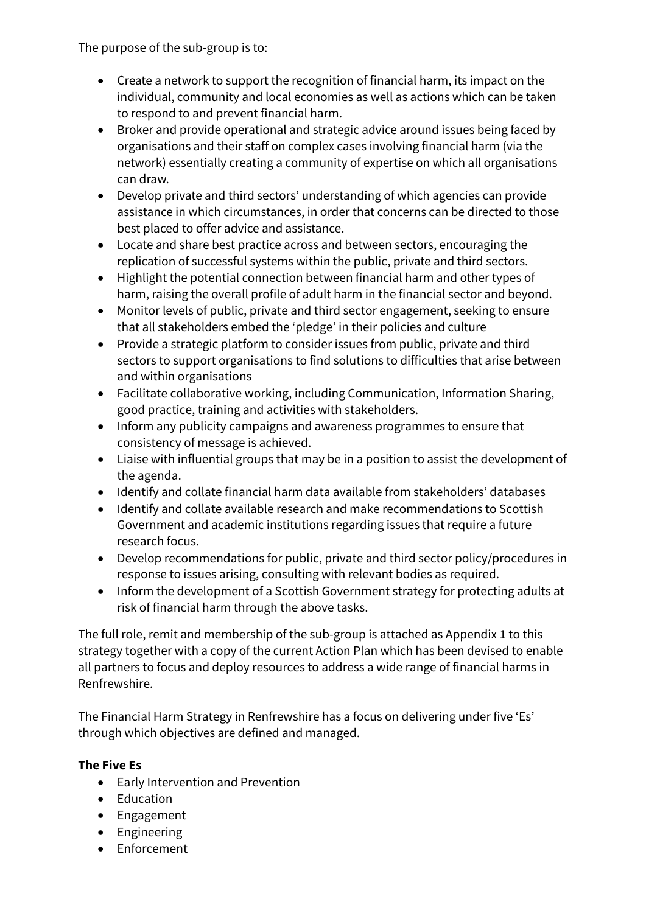The purpose of the sub-group is to:

- Create a network to support the recognition of financial harm, its impact on the individual, community and local economies as well as actions which can be taken to respond to and prevent financial harm.
- Broker and provide operational and strategic advice around issues being faced by organisations and their staff on complex cases involving financial harm (via the network) essentially creating a community of expertise on which all organisations can draw.
- Develop private and third sectors' understanding of which agencies can provide assistance in which circumstances, in order that concerns can be directed to those best placed to offer advice and assistance.
- Locate and share best practice across and between sectors, encouraging the replication of successful systems within the public, private and third sectors.
- Highlight the potential connection between financial harm and other types of harm, raising the overall profile of adult harm in the financial sector and beyond.
- Monitor levels of public, private and third sector engagement, seeking to ensure that all stakeholders embed the 'pledge' in their policies and culture
- Provide a strategic platform to consider issues from public, private and third sectors to support organisations to find solutions to difficulties that arise between and within organisations
- Facilitate collaborative working, including Communication, Information Sharing, good practice, training and activities with stakeholders.
- Inform any publicity campaigns and awareness programmes to ensure that consistency of message is achieved.
- Liaise with influential groups that may be in a position to assist the development of the agenda.
- Identify and collate financial harm data available from stakeholders' databases
- Identify and collate available research and make recommendations to Scottish Government and academic institutions regarding issues that require a future research focus.
- Develop recommendations for public, private and third sector policy/procedures in response to issues arising, consulting with relevant bodies as required.
- Inform the development of a Scottish Government strategy for protecting adults at risk of financial harm through the above tasks.

The full role, remit and membership of the sub-group is attached as Appendix 1 to this strategy together with a copy of the current Action Plan which has been devised to enable all partners to focus and deploy resources to address a wide range of financial harms in Renfrewshire.

The Financial Harm Strategy in Renfrewshire has a focus on delivering under five 'Es' through which objectives are defined and managed.

# **The Five Es**

- Early Intervention and Prevention
- Education
- Engagement
- Engineering
- Enforcement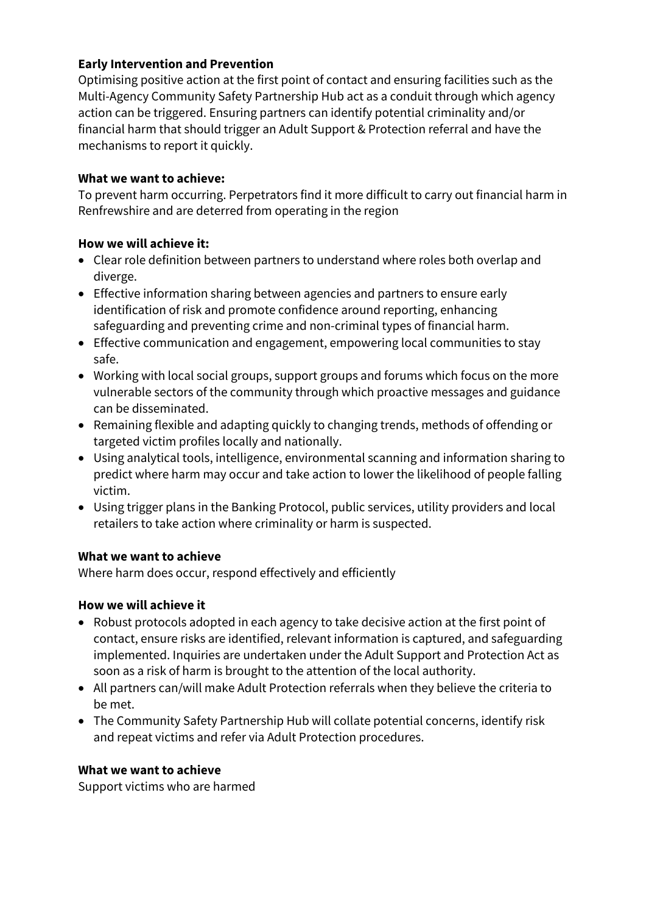# **Early Intervention and Prevention**

Optimising positive action at the first point of contact and ensuring facilities such as the Multi-Agency Community Safety Partnership Hub act as a conduit through which agency action can be triggered. Ensuring partners can identify potential criminality and/or financial harm that should trigger an Adult Support & Protection referral and have the mechanisms to report it quickly.

#### **What we want to achieve:**

To prevent harm occurring. Perpetrators find it more difficult to carry out financial harm in Renfrewshire and are deterred from operating in the region

### **How we will achieve it:**

- Clear role definition between partners to understand where roles both overlap and diverge.
- Effective information sharing between agencies and partners to ensure early identification of risk and promote confidence around reporting, enhancing safeguarding and preventing crime and non-criminal types of financial harm.
- Effective communication and engagement, empowering local communities to stay safe.
- Working with local social groups, support groups and forums which focus on the more vulnerable sectors of the community through which proactive messages and guidance can be disseminated.
- Remaining flexible and adapting quickly to changing trends, methods of offending or targeted victim profiles locally and nationally.
- Using analytical tools, intelligence, environmental scanning and information sharing to predict where harm may occur and take action to lower the likelihood of people falling victim.
- Using trigger plans in the Banking Protocol, public services, utility providers and local retailers to take action where criminality or harm is suspected.

# **What we want to achieve**

Where harm does occur, respond effectively and efficiently

# **How we will achieve it**

- Robust protocols adopted in each agency to take decisive action at the first point of contact, ensure risks are identified, relevant information is captured, and safeguarding implemented. Inquiries are undertaken under the Adult Support and Protection Act as soon as a risk of harm is brought to the attention of the local authority.
- All partners can/will make Adult Protection referrals when they believe the criteria to be met.
- The Community Safety Partnership Hub will collate potential concerns, identify risk and repeat victims and refer via Adult Protection procedures.

#### **What we want to achieve**

Support victims who are harmed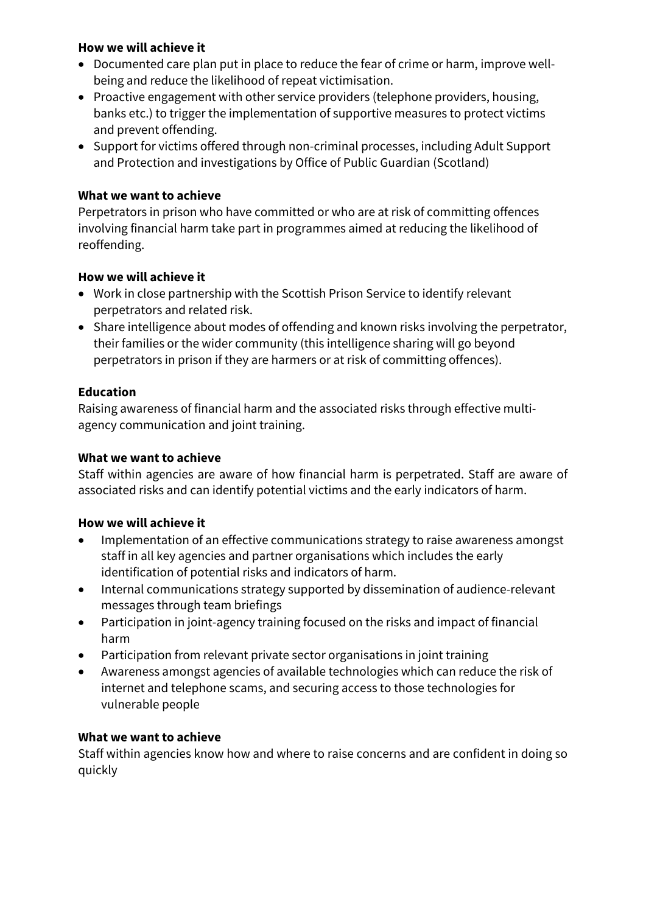- Documented care plan put in place to reduce the fear of crime or harm, improve wellbeing and reduce the likelihood of repeat victimisation.
- Proactive engagement with other service providers (telephone providers, housing, banks etc.) to trigger the implementation of supportive measures to protect victims and prevent offending.
- Support for victims offered through non-criminal processes, including Adult Support and Protection and investigations by Office of Public Guardian (Scotland)

# **What we want to achieve**

Perpetrators in prison who have committed or who are at risk of committing offences involving financial harm take part in programmes aimed at reducing the likelihood of reoffending.

# **How we will achieve it**

- Work in close partnership with the Scottish Prison Service to identify relevant perpetrators and related risk.
- Share intelligence about modes of offending and known risks involving the perpetrator, their families or the wider community (this intelligence sharing will go beyond perpetrators in prison if they are harmers or at risk of committing offences).

# **Education**

Raising awareness of financial harm and the associated risks through effective multiagency communication and joint training.

#### **What we want to achieve**

Staff within agencies are aware of how financial harm is perpetrated. Staff are aware of associated risks and can identify potential victims and the early indicators of harm.

# **How we will achieve it**

- Implementation of an effective communications strategy to raise awareness amongst staff in all key agencies and partner organisations which includes the early identification of potential risks and indicators of harm.
- Internal communications strategy supported by dissemination of audience-relevant messages through team briefings
- Participation in joint-agency training focused on the risks and impact of financial harm
- Participation from relevant private sector organisations in joint training
- Awareness amongst agencies of available technologies which can reduce the risk of internet and telephone scams, and securing access to those technologies for vulnerable people

# **What we want to achieve**

Staff within agencies know how and where to raise concerns and are confident in doing so quickly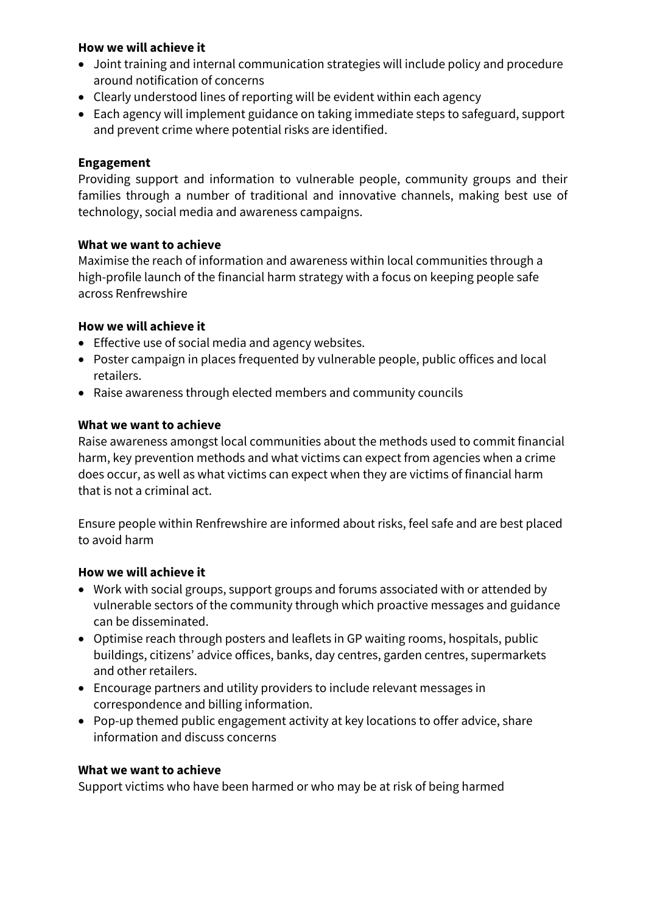- Joint training and internal communication strategies will include policy and procedure around notification of concerns
- Clearly understood lines of reporting will be evident within each agency
- Each agency will implement guidance on taking immediate steps to safeguard, support and prevent crime where potential risks are identified.

#### **Engagement**

Providing support and information to vulnerable people, community groups and their families through a number of traditional and innovative channels, making best use of technology, social media and awareness campaigns.

#### **What we want to achieve**

Maximise the reach of information and awareness within local communities through a high-profile launch of the financial harm strategy with a focus on keeping people safe across Renfrewshire

#### **How we will achieve it**

- Effective use of social media and agency websites.
- Poster campaign in places frequented by vulnerable people, public offices and local retailers.
- Raise awareness through elected members and community councils

### **What we want to achieve**

Raise awareness amongst local communities about the methods used to commit financial harm, key prevention methods and what victims can expect from agencies when a crime does occur, as well as what victims can expect when they are victims of financial harm that is not a criminal act.

Ensure people within Renfrewshire are informed about risks, feel safe and are best placed to avoid harm

#### **How we will achieve it**

- Work with social groups, support groups and forums associated with or attended by vulnerable sectors of the community through which proactive messages and guidance can be disseminated.
- Optimise reach through posters and leaflets in GP waiting rooms, hospitals, public buildings, citizens' advice offices, banks, day centres, garden centres, supermarkets and other retailers.
- Encourage partners and utility providers to include relevant messages in correspondence and billing information.
- Pop-up themed public engagement activity at key locations to offer advice, share information and discuss concerns

#### **What we want to achieve**

Support victims who have been harmed or who may be at risk of being harmed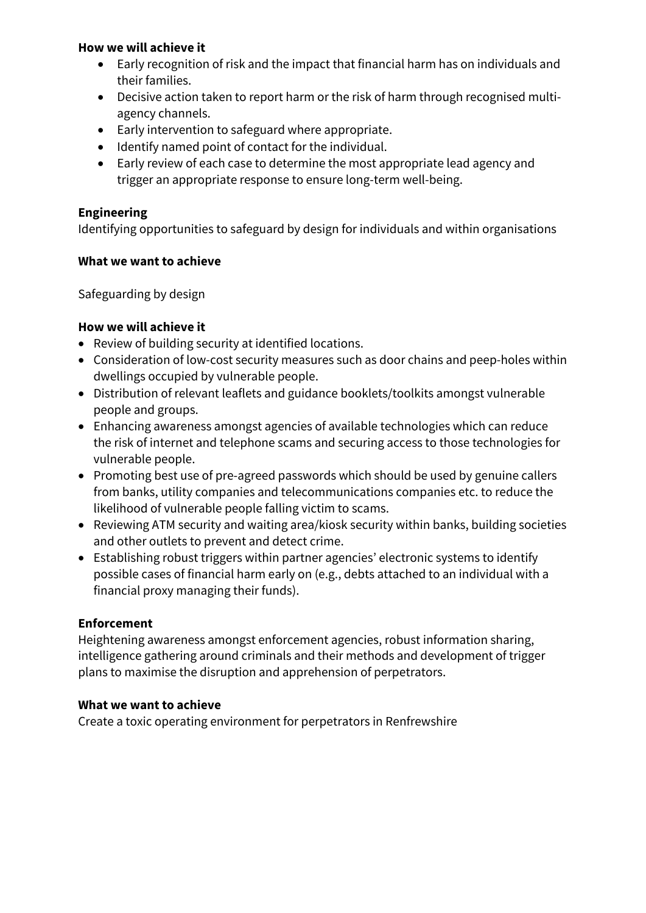- Early recognition of risk and the impact that financial harm has on individuals and their families.
- Decisive action taken to report harm or the risk of harm through recognised multiagency channels.
- Early intervention to safeguard where appropriate.
- Identify named point of contact for the individual.
- Early review of each case to determine the most appropriate lead agency and trigger an appropriate response to ensure long-term well-being.

# **Engineering**

Identifying opportunities to safeguard by design for individuals and within organisations

### **What we want to achieve**

Safeguarding by design

### **How we will achieve it**

- Review of building security at identified locations.
- Consideration of low-cost security measures such as door chains and peep-holes within dwellings occupied by vulnerable people.
- Distribution of relevant leaflets and guidance booklets/toolkits amongst vulnerable people and groups.
- Enhancing awareness amongst agencies of available technologies which can reduce the risk of internet and telephone scams and securing access to those technologies for vulnerable people.
- Promoting best use of pre-agreed passwords which should be used by genuine callers from banks, utility companies and telecommunications companies etc. to reduce the likelihood of vulnerable people falling victim to scams.
- Reviewing ATM security and waiting area/kiosk security within banks, building societies and other outlets to prevent and detect crime.
- Establishing robust triggers within partner agencies' electronic systems to identify possible cases of financial harm early on (e.g., debts attached to an individual with a financial proxy managing their funds).

# **Enforcement**

Heightening awareness amongst enforcement agencies, robust information sharing, intelligence gathering around criminals and their methods and development of trigger plans to maximise the disruption and apprehension of perpetrators.

# **What we want to achieve**

Create a toxic operating environment for perpetrators in Renfrewshire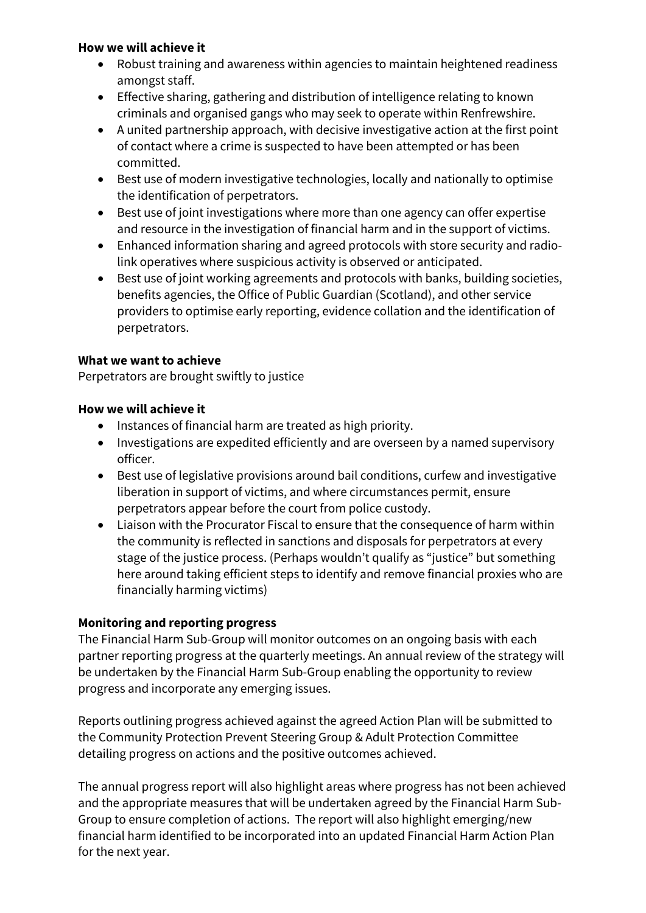- Robust training and awareness within agencies to maintain heightened readiness amongst staff.
- Effective sharing, gathering and distribution of intelligence relating to known criminals and organised gangs who may seek to operate within Renfrewshire.
- A united partnership approach, with decisive investigative action at the first point of contact where a crime is suspected to have been attempted or has been committed.
- Best use of modern investigative technologies, locally and nationally to optimise the identification of perpetrators.
- Best use of joint investigations where more than one agency can offer expertise and resource in the investigation of financial harm and in the support of victims.
- Enhanced information sharing and agreed protocols with store security and radiolink operatives where suspicious activity is observed or anticipated.
- Best use of joint working agreements and protocols with banks, building societies, benefits agencies, the Office of Public Guardian (Scotland), and other service providers to optimise early reporting, evidence collation and the identification of perpetrators.

# **What we want to achieve**

Perpetrators are brought swiftly to justice

# **How we will achieve it**

- Instances of financial harm are treated as high priority.
- Investigations are expedited efficiently and are overseen by a named supervisory officer.
- Best use of legislative provisions around bail conditions, curfew and investigative liberation in support of victims, and where circumstances permit, ensure perpetrators appear before the court from police custody.
- Liaison with the Procurator Fiscal to ensure that the consequence of harm within the community is reflected in sanctions and disposals for perpetrators at every stage of the justice process. (Perhaps wouldn't qualify as "justice" but something here around taking efficient steps to identify and remove financial proxies who are financially harming victims)

# **Monitoring and reporting progress**

The Financial Harm Sub-Group will monitor outcomes on an ongoing basis with each partner reporting progress at the quarterly meetings. An annual review of the strategy will be undertaken by the Financial Harm Sub-Group enabling the opportunity to review progress and incorporate any emerging issues.

Reports outlining progress achieved against the agreed Action Plan will be submitted to the Community Protection Prevent Steering Group & Adult Protection Committee detailing progress on actions and the positive outcomes achieved.

The annual progress report will also highlight areas where progress has not been achieved and the appropriate measures that will be undertaken agreed by the Financial Harm Sub-Group to ensure completion of actions. The report will also highlight emerging/new financial harm identified to be incorporated into an updated Financial Harm Action Plan for the next year.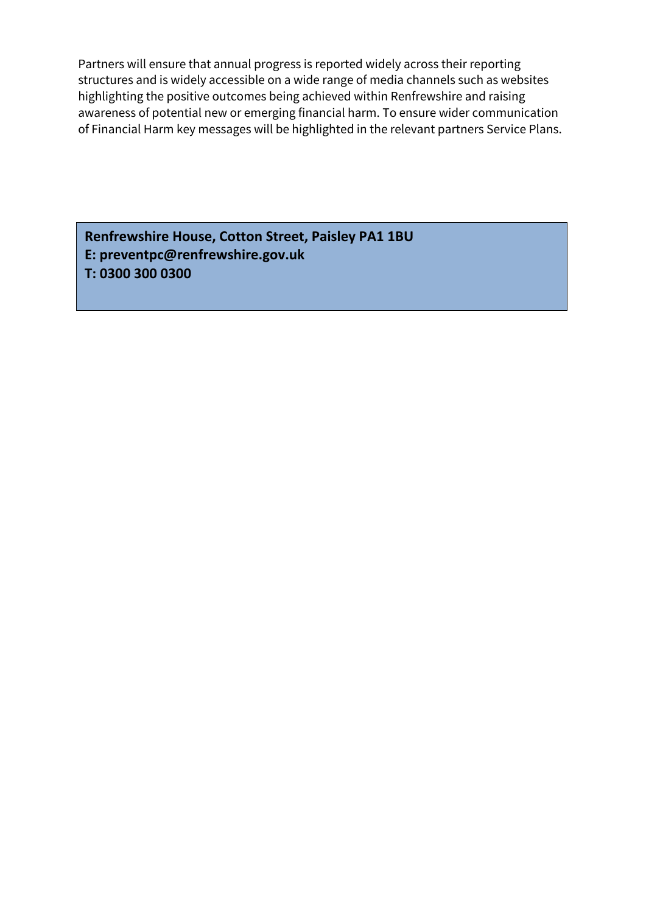Partners will ensure that annual progress is reported widely across their reporting structures and is widely accessible on a wide range of media channels such as websites highlighting the positive outcomes being achieved within Renfrewshire and raising awareness of potential new or emerging financial harm. To ensure wider communication of Financial Harm key messages will be highlighted in the relevant partners Service Plans.

**Renfrewshire House, Cotton Street, Paisley PA1 1BU E: preventpc@renfrewshire.gov.uk T: 0300 300 0300**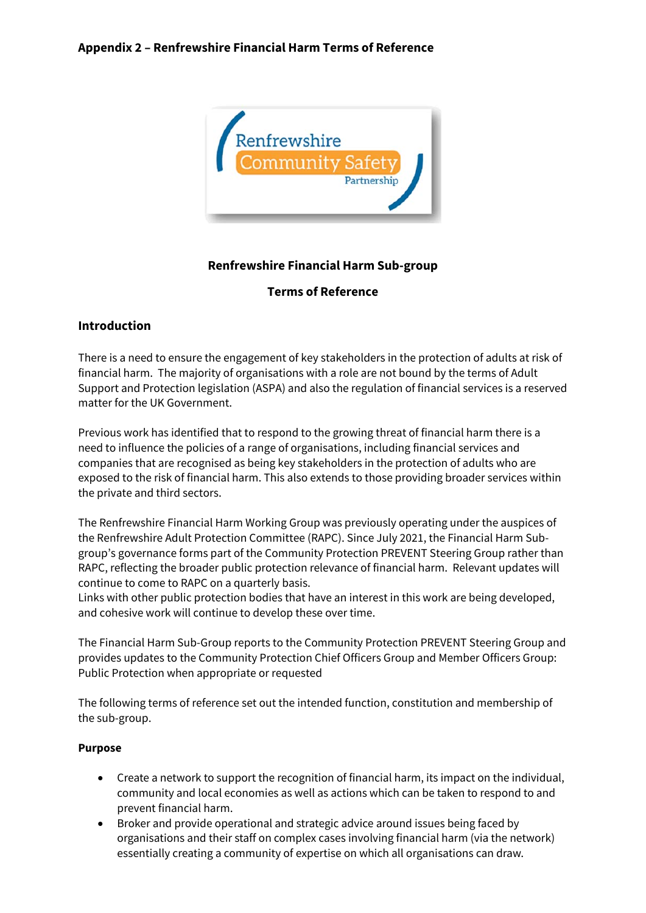

### **Renfrewshire Financial Harm Sub-group**

#### **Terms of Reference**

### **Introduction**

There is a need to ensure the engagement of key stakeholders in the protection of adults at risk of financial harm. The majority of organisations with a role are not bound by the terms of Adult Support and Protection legislation (ASPA) and also the regulation of financial services is a reserved matter for the UK Government.

Previous work has identified that to respond to the growing threat of financial harm there is a need to influence the policies of a range of organisations, including financial services and companies that are recognised as being key stakeholders in the protection of adults who are exposed to the risk of financial harm. This also extends to those providing broader services within the private and third sectors.

The Renfrewshire Financial Harm Working Group was previously operating under the auspices of the Renfrewshire Adult Protection Committee (RAPC). Since July 2021, the Financial Harm Subgroup's governance forms part of the Community Protection PREVENT Steering Group rather than RAPC, reflecting the broader public protection relevance of financial harm. Relevant updates will continue to come to RAPC on a quarterly basis.

Links with other public protection bodies that have an interest in this work are being developed, and cohesive work will continue to develop these over time.

The Financial Harm Sub-Group reports to the Community Protection PREVENT Steering Group and provides updates to the Community Protection Chief Officers Group and Member Officers Group: Public Protection when appropriate or requested

The following terms of reference set out the intended function, constitution and membership of the sub-group.

#### **Purpose**

- Create a network to support the recognition of financial harm, its impact on the individual, community and local economies as well as actions which can be taken to respond to and prevent financial harm.
- Broker and provide operational and strategic advice around issues being faced by organisations and their staff on complex cases involving financial harm (via the network) essentially creating a community of expertise on which all organisations can draw.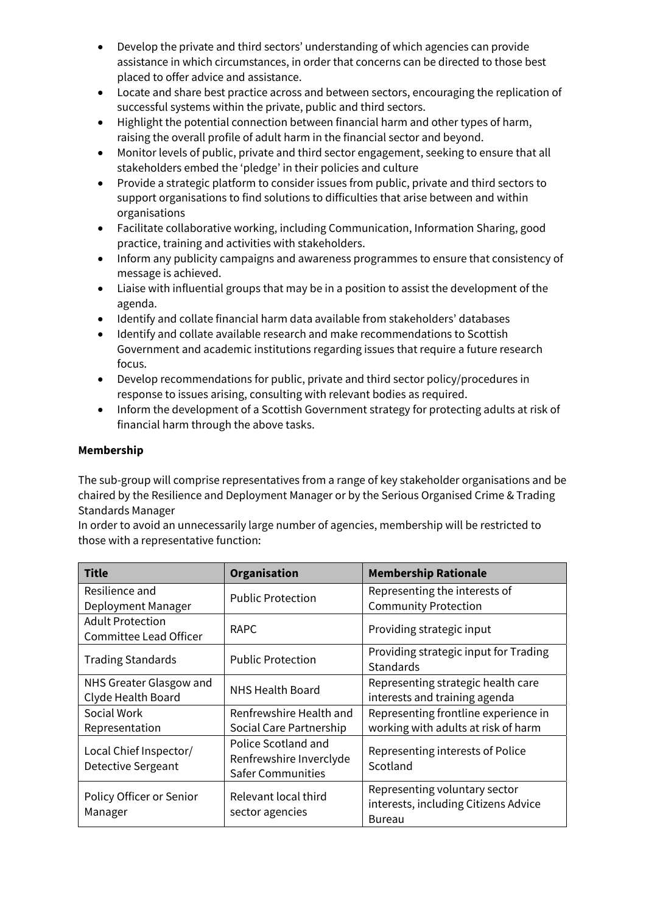- Develop the private and third sectors' understanding of which agencies can provide assistance in which circumstances, in order that concerns can be directed to those best placed to offer advice and assistance.
- Locate and share best practice across and between sectors, encouraging the replication of successful systems within the private, public and third sectors.
- Highlight the potential connection between financial harm and other types of harm, raising the overall profile of adult harm in the financial sector and beyond.
- Monitor levels of public, private and third sector engagement, seeking to ensure that all stakeholders embed the 'pledge' in their policies and culture
- Provide a strategic platform to consider issues from public, private and third sectors to support organisations to find solutions to difficulties that arise between and within organisations
- Facilitate collaborative working, including Communication, Information Sharing, good practice, training and activities with stakeholders.
- Inform any publicity campaigns and awareness programmes to ensure that consistency of message is achieved.
- Liaise with influential groups that may be in a position to assist the development of the agenda.
- Identify and collate financial harm data available from stakeholders' databases
- Identify and collate available research and make recommendations to Scottish Government and academic institutions regarding issues that require a future research focus.
- Develop recommendations for public, private and third sector policy/procedures in response to issues arising, consulting with relevant bodies as required.
- Inform the development of a Scottish Government strategy for protecting adults at risk of financial harm through the above tasks.

#### **Membership**

The sub-group will comprise representatives from a range of key stakeholder organisations and be chaired by the Resilience and Deployment Manager or by the Serious Organised Crime & Trading Standards Manager

In order to avoid an unnecessarily large number of agencies, membership will be restricted to those with a representative function:

| <b>Title</b>                                             | Organisation                                                               | <b>Membership Rationale</b>                                                            |
|----------------------------------------------------------|----------------------------------------------------------------------------|----------------------------------------------------------------------------------------|
| Resilience and<br>Deployment Manager                     | <b>Public Protection</b>                                                   | Representing the interests of<br><b>Community Protection</b>                           |
| <b>Adult Protection</b><br><b>Committee Lead Officer</b> | <b>RAPC</b>                                                                | Providing strategic input                                                              |
| <b>Trading Standards</b>                                 | <b>Public Protection</b>                                                   | Providing strategic input for Trading<br><b>Standards</b>                              |
| NHS Greater Glasgow and<br>Clyde Health Board            | <b>NHS Health Board</b>                                                    | Representing strategic health care<br>interests and training agenda                    |
| Social Work<br>Representation                            | Renfrewshire Health and<br>Social Care Partnership                         | Representing frontline experience in<br>working with adults at risk of harm            |
| Local Chief Inspector/<br><b>Detective Sergeant</b>      | Police Scotland and<br>Renfrewshire Inverclyde<br><b>Safer Communities</b> | Representing interests of Police<br>Scotland                                           |
| Policy Officer or Senior<br>Manager                      | Relevant local third<br>sector agencies                                    | Representing voluntary sector<br>interests, including Citizens Advice<br><b>Bureau</b> |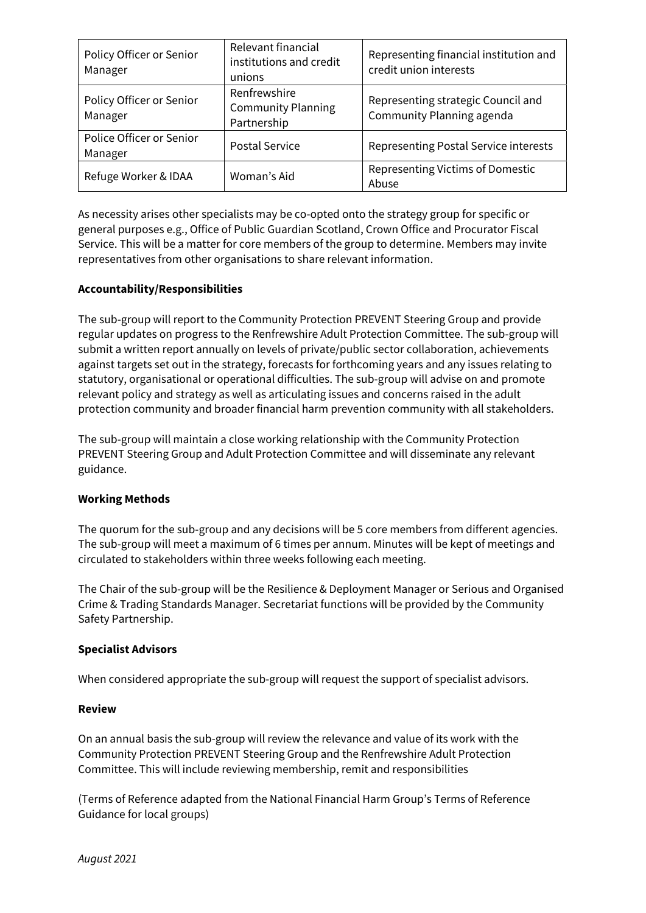| Policy Officer or Senior<br>Manager | Relevant financial<br>institutions and credit<br>unions  | Representing financial institution and<br>credit union interests |
|-------------------------------------|----------------------------------------------------------|------------------------------------------------------------------|
| Policy Officer or Senior<br>Manager | Renfrewshire<br><b>Community Planning</b><br>Partnership | Representing strategic Council and<br>Community Planning agenda  |
| Police Officer or Senior<br>Manager | <b>Postal Service</b>                                    | Representing Postal Service interests                            |
| Refuge Worker & IDAA                | Woman's Aid                                              | Representing Victims of Domestic<br>Abuse                        |

As necessity arises other specialists may be co-opted onto the strategy group for specific or general purposes e.g., Office of Public Guardian Scotland, Crown Office and Procurator Fiscal Service. This will be a matter for core members of the group to determine. Members may invite representatives from other organisations to share relevant information.

#### **Accountability/Responsibilities**

The sub-group will report to the Community Protection PREVENT Steering Group and provide regular updates on progress to the Renfrewshire Adult Protection Committee. The sub-group will submit a written report annually on levels of private/public sector collaboration, achievements against targets set out in the strategy, forecasts for forthcoming years and any issues relating to statutory, organisational or operational difficulties. The sub-group will advise on and promote relevant policy and strategy as well as articulating issues and concerns raised in the adult protection community and broader financial harm prevention community with all stakeholders.

The sub-group will maintain a close working relationship with the Community Protection PREVENT Steering Group and Adult Protection Committee and will disseminate any relevant guidance.

#### **Working Methods**

The quorum for the sub-group and any decisions will be 5 core members from different agencies. The sub-group will meet a maximum of 6 times per annum. Minutes will be kept of meetings and circulated to stakeholders within three weeks following each meeting.

The Chair of the sub-group will be the Resilience & Deployment Manager or Serious and Organised Crime & Trading Standards Manager. Secretariat functions will be provided by the Community Safety Partnership.

#### **Specialist Advisors**

When considered appropriate the sub-group will request the support of specialist advisors.

#### **Review**

On an annual basis the sub-group will review the relevance and value of its work with the Community Protection PREVENT Steering Group and the Renfrewshire Adult Protection Committee. This will include reviewing membership, remit and responsibilities

(Terms of Reference adapted from the National Financial Harm Group's Terms of Reference Guidance for local groups)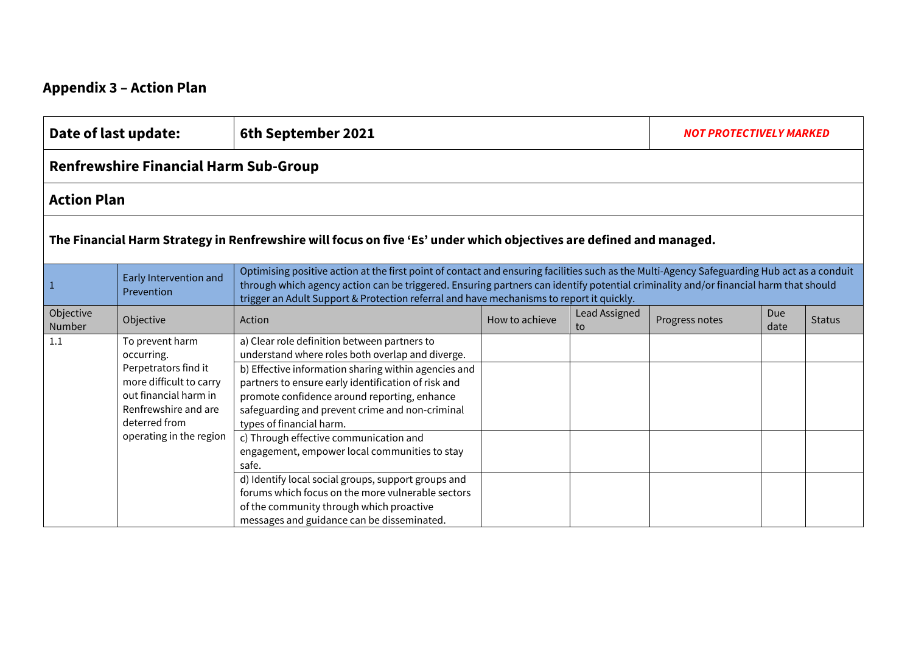# **Appendix 3 – Action Plan**

|                                                                                                                     | Date of last update:<br>6th September 2021                                                                                                                                    |                                                                                                                                                                                                                                                                                                                                                                                                                                                                                                                                                                                                                                                          |                | <b>NOT PROTECTIVELY MARKED</b> |                |             |               |  |  |  |  |
|---------------------------------------------------------------------------------------------------------------------|-------------------------------------------------------------------------------------------------------------------------------------------------------------------------------|----------------------------------------------------------------------------------------------------------------------------------------------------------------------------------------------------------------------------------------------------------------------------------------------------------------------------------------------------------------------------------------------------------------------------------------------------------------------------------------------------------------------------------------------------------------------------------------------------------------------------------------------------------|----------------|--------------------------------|----------------|-------------|---------------|--|--|--|--|
|                                                                                                                     | <b>Renfrewshire Financial Harm Sub-Group</b>                                                                                                                                  |                                                                                                                                                                                                                                                                                                                                                                                                                                                                                                                                                                                                                                                          |                |                                |                |             |               |  |  |  |  |
| <b>Action Plan</b>                                                                                                  |                                                                                                                                                                               |                                                                                                                                                                                                                                                                                                                                                                                                                                                                                                                                                                                                                                                          |                |                                |                |             |               |  |  |  |  |
| The Financial Harm Strategy in Renfrewshire will focus on five 'Es' under which objectives are defined and managed. |                                                                                                                                                                               |                                                                                                                                                                                                                                                                                                                                                                                                                                                                                                                                                                                                                                                          |                |                                |                |             |               |  |  |  |  |
|                                                                                                                     | Early Intervention and<br>Prevention                                                                                                                                          | Optimising positive action at the first point of contact and ensuring facilities such as the Multi-Agency Safeguarding Hub act as a conduit<br>through which agency action can be triggered. Ensuring partners can identify potential criminality and/or financial harm that should<br>trigger an Adult Support & Protection referral and have mechanisms to report it quickly.                                                                                                                                                                                                                                                                          |                |                                |                |             |               |  |  |  |  |
| Objective<br>Number                                                                                                 | Objective                                                                                                                                                                     | Action                                                                                                                                                                                                                                                                                                                                                                                                                                                                                                                                                                                                                                                   | How to achieve | Lead Assigned<br>to            | Progress notes | Due<br>date | <b>Status</b> |  |  |  |  |
| 1.1                                                                                                                 | To prevent harm<br>occurring.<br>Perpetrators find it<br>more difficult to carry<br>out financial harm in<br>Renfrewshire and are<br>deterred from<br>operating in the region | a) Clear role definition between partners to<br>understand where roles both overlap and diverge.<br>b) Effective information sharing within agencies and<br>partners to ensure early identification of risk and<br>promote confidence around reporting, enhance<br>safeguarding and prevent crime and non-criminal<br>types of financial harm.<br>c) Through effective communication and<br>engagement, empower local communities to stay<br>safe.<br>d) Identify local social groups, support groups and<br>forums which focus on the more vulnerable sectors<br>of the community through which proactive<br>messages and guidance can be disseminated. |                |                                |                |             |               |  |  |  |  |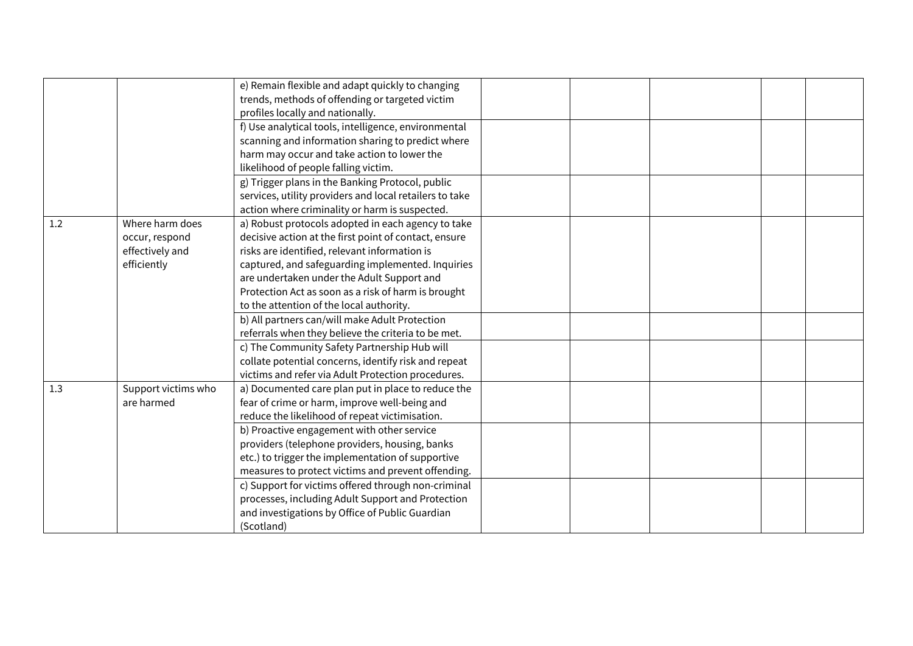|     |                     | e) Remain flexible and adapt quickly to changing        |  |  |  |
|-----|---------------------|---------------------------------------------------------|--|--|--|
|     |                     | trends, methods of offending or targeted victim         |  |  |  |
|     |                     | profiles locally and nationally.                        |  |  |  |
|     |                     | f) Use analytical tools, intelligence, environmental    |  |  |  |
|     |                     | scanning and information sharing to predict where       |  |  |  |
|     |                     | harm may occur and take action to lower the             |  |  |  |
|     |                     | likelihood of people falling victim.                    |  |  |  |
|     |                     | g) Trigger plans in the Banking Protocol, public        |  |  |  |
|     |                     | services, utility providers and local retailers to take |  |  |  |
|     |                     | action where criminality or harm is suspected.          |  |  |  |
| 1.2 | Where harm does     | a) Robust protocols adopted in each agency to take      |  |  |  |
|     | occur, respond      | decisive action at the first point of contact, ensure   |  |  |  |
|     | effectively and     | risks are identified, relevant information is           |  |  |  |
|     | efficiently         | captured, and safeguarding implemented. Inquiries       |  |  |  |
|     |                     | are undertaken under the Adult Support and              |  |  |  |
|     |                     | Protection Act as soon as a risk of harm is brought     |  |  |  |
|     |                     | to the attention of the local authority.                |  |  |  |
|     |                     | b) All partners can/will make Adult Protection          |  |  |  |
|     |                     | referrals when they believe the criteria to be met.     |  |  |  |
|     |                     | c) The Community Safety Partnership Hub will            |  |  |  |
|     |                     | collate potential concerns, identify risk and repeat    |  |  |  |
|     |                     | victims and refer via Adult Protection procedures.      |  |  |  |
| 1.3 | Support victims who | a) Documented care plan put in place to reduce the      |  |  |  |
|     | are harmed          | fear of crime or harm, improve well-being and           |  |  |  |
|     |                     | reduce the likelihood of repeat victimisation.          |  |  |  |
|     |                     | b) Proactive engagement with other service              |  |  |  |
|     |                     | providers (telephone providers, housing, banks          |  |  |  |
|     |                     | etc.) to trigger the implementation of supportive       |  |  |  |
|     |                     | measures to protect victims and prevent offending.      |  |  |  |
|     |                     | c) Support for victims offered through non-criminal     |  |  |  |
|     |                     | processes, including Adult Support and Protection       |  |  |  |
|     |                     | and investigations by Office of Public Guardian         |  |  |  |
|     |                     | (Scotland)                                              |  |  |  |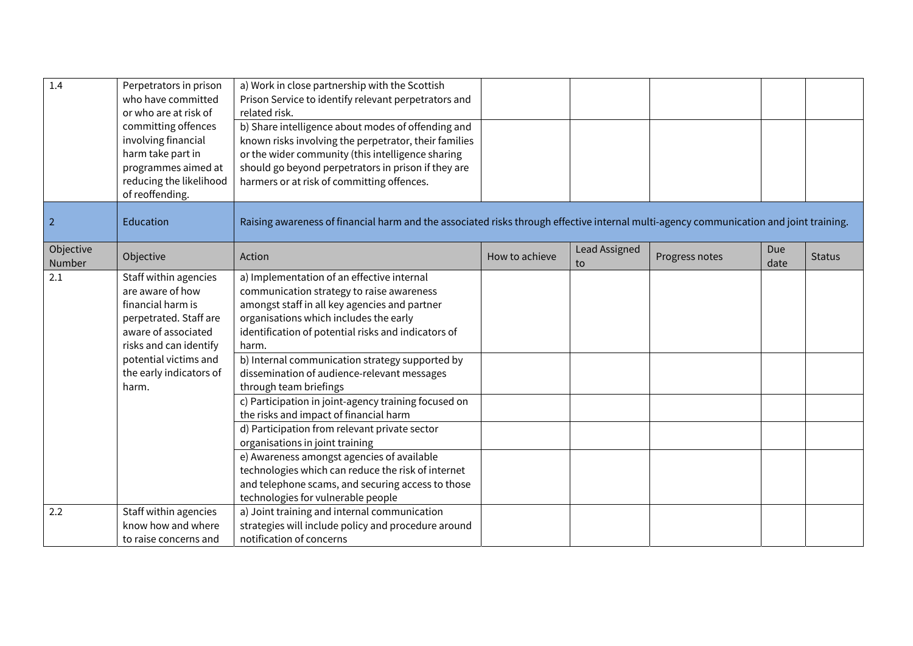| 1.4                 | Perpetrators in prison<br>who have committed<br>or who are at risk of<br>committing offences<br>involving financial<br>harm take part in<br>programmes aimed at<br>reducing the likelihood<br>of reoffending. | a) Work in close partnership with the Scottish<br>Prison Service to identify relevant perpetrators and<br>related risk.<br>b) Share intelligence about modes of offending and<br>known risks involving the perpetrator, their families<br>or the wider community (this intelligence sharing<br>should go beyond perpetrators in prison if they are<br>harmers or at risk of committing offences.                                                                                                                                                                                                                                                                                                                                                                    |                |                     |                |             |               |
|---------------------|---------------------------------------------------------------------------------------------------------------------------------------------------------------------------------------------------------------|---------------------------------------------------------------------------------------------------------------------------------------------------------------------------------------------------------------------------------------------------------------------------------------------------------------------------------------------------------------------------------------------------------------------------------------------------------------------------------------------------------------------------------------------------------------------------------------------------------------------------------------------------------------------------------------------------------------------------------------------------------------------|----------------|---------------------|----------------|-------------|---------------|
| $\overline{2}$      | Education                                                                                                                                                                                                     | Raising awareness of financial harm and the associated risks through effective internal multi-agency communication and joint training.                                                                                                                                                                                                                                                                                                                                                                                                                                                                                                                                                                                                                              |                |                     |                |             |               |
| Objective<br>Number | Objective                                                                                                                                                                                                     | Action                                                                                                                                                                                                                                                                                                                                                                                                                                                                                                                                                                                                                                                                                                                                                              | How to achieve | Lead Assigned<br>to | Progress notes | Due<br>date | <b>Status</b> |
| 2.1                 | Staff within agencies<br>are aware of how<br>financial harm is<br>perpetrated. Staff are<br>aware of associated<br>risks and can identify<br>potential victims and<br>the early indicators of<br>harm.        | a) Implementation of an effective internal<br>communication strategy to raise awareness<br>amongst staff in all key agencies and partner<br>organisations which includes the early<br>identification of potential risks and indicators of<br>harm.<br>b) Internal communication strategy supported by<br>dissemination of audience-relevant messages<br>through team briefings<br>c) Participation in joint-agency training focused on<br>the risks and impact of financial harm<br>d) Participation from relevant private sector<br>organisations in joint training<br>e) Awareness amongst agencies of available<br>technologies which can reduce the risk of internet<br>and telephone scams, and securing access to those<br>technologies for vulnerable people |                |                     |                |             |               |
| 2.2                 | Staff within agencies<br>know how and where<br>to raise concerns and                                                                                                                                          | a) Joint training and internal communication<br>strategies will include policy and procedure around<br>notification of concerns                                                                                                                                                                                                                                                                                                                                                                                                                                                                                                                                                                                                                                     |                |                     |                |             |               |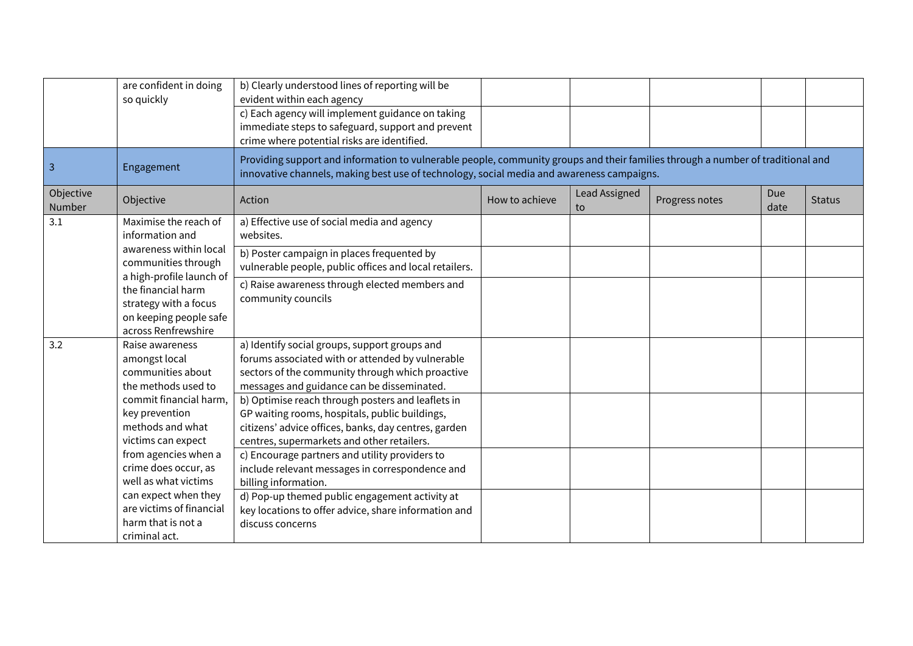|                                                                         | are confident in doing<br>so quickly                                                                                                                                                                                                                                                                                                  | b) Clearly understood lines of reporting will be<br>evident within each agency<br>c) Each agency will implement guidance on taking<br>immediate steps to safeguard, support and prevent<br>crime where potential risks are identified.                                                                                                                                                                                                                                                                                                                                                                                                                                      |                |                     |                |             |               |  |  |
|-------------------------------------------------------------------------|---------------------------------------------------------------------------------------------------------------------------------------------------------------------------------------------------------------------------------------------------------------------------------------------------------------------------------------|-----------------------------------------------------------------------------------------------------------------------------------------------------------------------------------------------------------------------------------------------------------------------------------------------------------------------------------------------------------------------------------------------------------------------------------------------------------------------------------------------------------------------------------------------------------------------------------------------------------------------------------------------------------------------------|----------------|---------------------|----------------|-------------|---------------|--|--|
| 3                                                                       | Engagement                                                                                                                                                                                                                                                                                                                            | Providing support and information to vulnerable people, community groups and their families through a number of traditional and<br>innovative channels, making best use of technology, social media and awareness campaigns.                                                                                                                                                                                                                                                                                                                                                                                                                                                |                |                     |                |             |               |  |  |
| Objective<br>Number                                                     | Objective                                                                                                                                                                                                                                                                                                                             | Action                                                                                                                                                                                                                                                                                                                                                                                                                                                                                                                                                                                                                                                                      | How to achieve | Lead Assigned<br>to | Progress notes | Due<br>date | <b>Status</b> |  |  |
| 3.1                                                                     | Maximise the reach of<br>information and                                                                                                                                                                                                                                                                                              | a) Effective use of social media and agency<br>websites.                                                                                                                                                                                                                                                                                                                                                                                                                                                                                                                                                                                                                    |                |                     |                |             |               |  |  |
|                                                                         | awareness within local<br>communities through                                                                                                                                                                                                                                                                                         | b) Poster campaign in places frequented by<br>vulnerable people, public offices and local retailers.                                                                                                                                                                                                                                                                                                                                                                                                                                                                                                                                                                        |                |                     |                |             |               |  |  |
| a high-profile launch of<br>the financial harm<br>strategy with a focus | on keeping people safe<br>across Renfrewshire                                                                                                                                                                                                                                                                                         | c) Raise awareness through elected members and<br>community councils                                                                                                                                                                                                                                                                                                                                                                                                                                                                                                                                                                                                        |                |                     |                |             |               |  |  |
| 3.2                                                                     | Raise awareness<br>amongst local<br>communities about<br>the methods used to<br>commit financial harm,<br>key prevention<br>methods and what<br>victims can expect<br>from agencies when a<br>crime does occur, as<br>well as what victims<br>can expect when they<br>are victims of financial<br>harm that is not a<br>criminal act. | a) Identify social groups, support groups and<br>forums associated with or attended by vulnerable<br>sectors of the community through which proactive<br>messages and guidance can be disseminated.<br>b) Optimise reach through posters and leaflets in<br>GP waiting rooms, hospitals, public buildings,<br>citizens' advice offices, banks, day centres, garden<br>centres, supermarkets and other retailers.<br>c) Encourage partners and utility providers to<br>include relevant messages in correspondence and<br>billing information.<br>d) Pop-up themed public engagement activity at<br>key locations to offer advice, share information and<br>discuss concerns |                |                     |                |             |               |  |  |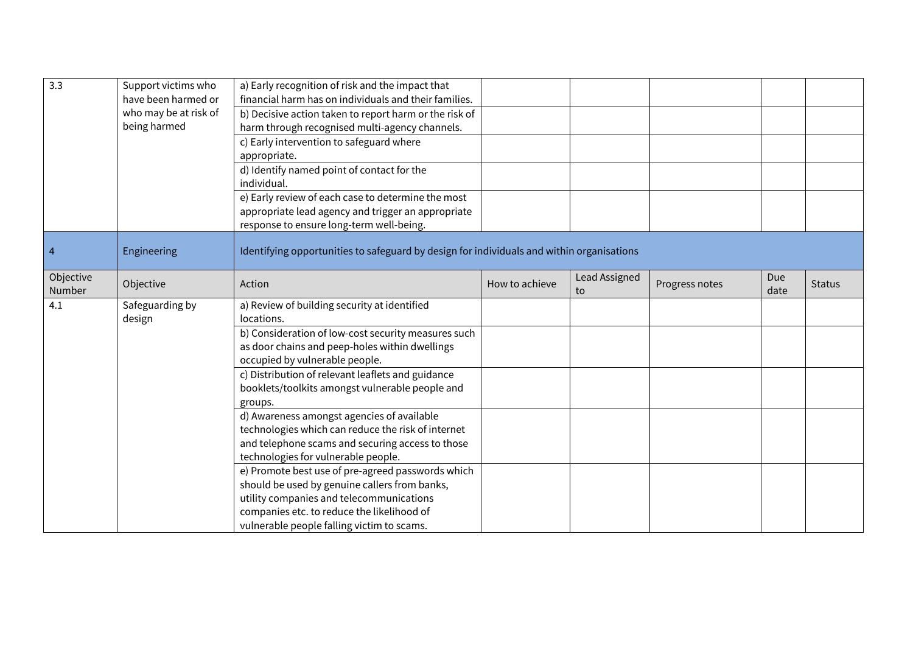| 3.3                 | Support victims who<br>have been harmed or<br>who may be at risk of<br>being harmed | a) Early recognition of risk and the impact that<br>financial harm has on individuals and their families.<br>b) Decisive action taken to report harm or the risk of<br>harm through recognised multi-agency channels.<br>c) Early intervention to safeguard where<br>appropriate.<br>d) Identify named point of contact for the |                |                     |                |             |               |
|---------------------|-------------------------------------------------------------------------------------|---------------------------------------------------------------------------------------------------------------------------------------------------------------------------------------------------------------------------------------------------------------------------------------------------------------------------------|----------------|---------------------|----------------|-------------|---------------|
|                     |                                                                                     | individual.<br>e) Early review of each case to determine the most<br>appropriate lead agency and trigger an appropriate<br>response to ensure long-term well-being.                                                                                                                                                             |                |                     |                |             |               |
| $\overline{4}$      | Engineering                                                                         | Identifying opportunities to safeguard by design for individuals and within organisations                                                                                                                                                                                                                                       |                |                     |                |             |               |
| Objective<br>Number | Objective                                                                           | Action                                                                                                                                                                                                                                                                                                                          | How to achieve | Lead Assigned<br>to | Progress notes | Due<br>date | <b>Status</b> |
| 4.1                 | Safeguarding by<br>design                                                           | a) Review of building security at identified<br>locations.                                                                                                                                                                                                                                                                      |                |                     |                |             |               |
|                     |                                                                                     | b) Consideration of low-cost security measures such<br>as door chains and peep-holes within dwellings<br>occupied by vulnerable people.                                                                                                                                                                                         |                |                     |                |             |               |
|                     |                                                                                     | c) Distribution of relevant leaflets and guidance<br>booklets/toolkits amongst vulnerable people and<br>groups.                                                                                                                                                                                                                 |                |                     |                |             |               |
|                     |                                                                                     | d) Awareness amongst agencies of available<br>technologies which can reduce the risk of internet<br>and telephone scams and securing access to those<br>technologies for vulnerable people.                                                                                                                                     |                |                     |                |             |               |
|                     |                                                                                     | e) Promote best use of pre-agreed passwords which<br>should be used by genuine callers from banks,<br>utility companies and telecommunications<br>companies etc. to reduce the likelihood of<br>vulnerable people falling victim to scams.                                                                                      |                |                     |                |             |               |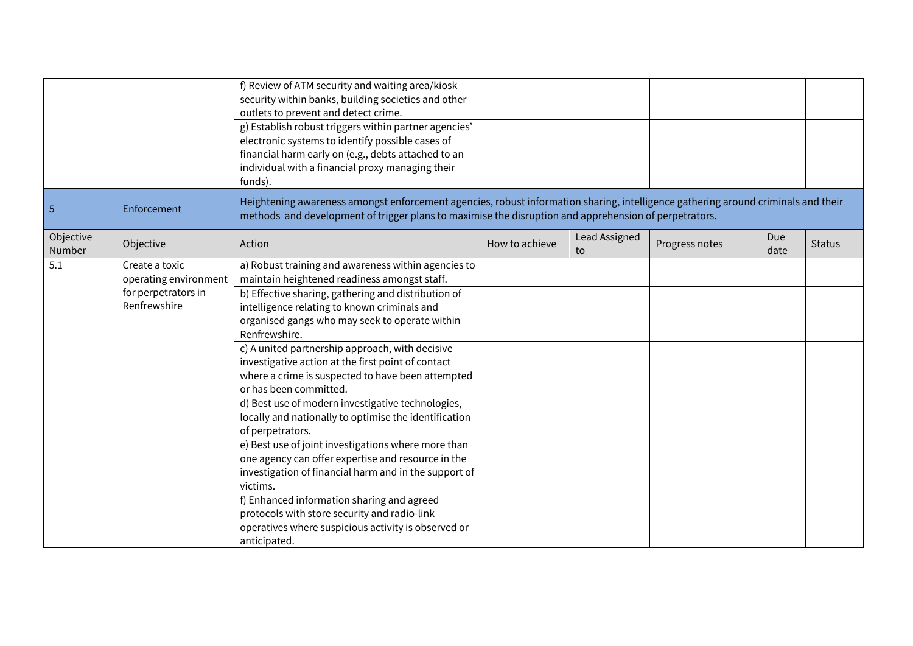|                     |                                                                                | f) Review of ATM security and waiting area/kiosk<br>security within banks, building societies and other<br>outlets to prevent and detect crime.<br>g) Establish robust triggers within partner agencies'<br>electronic systems to identify possible cases of<br>financial harm early on (e.g., debts attached to an<br>individual with a financial proxy managing their<br>funds).                                                                                                                                                                                                                                                                                                                                                                                                                                                                                                                                                                             |                |                     |                |             |               |
|---------------------|--------------------------------------------------------------------------------|----------------------------------------------------------------------------------------------------------------------------------------------------------------------------------------------------------------------------------------------------------------------------------------------------------------------------------------------------------------------------------------------------------------------------------------------------------------------------------------------------------------------------------------------------------------------------------------------------------------------------------------------------------------------------------------------------------------------------------------------------------------------------------------------------------------------------------------------------------------------------------------------------------------------------------------------------------------|----------------|---------------------|----------------|-------------|---------------|
| $\overline{5}$      | Enforcement                                                                    | Heightening awareness amongst enforcement agencies, robust information sharing, intelligence gathering around criminals and their<br>methods and development of trigger plans to maximise the disruption and apprehension of perpetrators.                                                                                                                                                                                                                                                                                                                                                                                                                                                                                                                                                                                                                                                                                                                     |                |                     |                |             |               |
| Objective<br>Number | Objective                                                                      | Action                                                                                                                                                                                                                                                                                                                                                                                                                                                                                                                                                                                                                                                                                                                                                                                                                                                                                                                                                         | How to achieve | Lead Assigned<br>to | Progress notes | Due<br>date | <b>Status</b> |
| 5.1                 | Create a toxic<br>operating environment<br>for perpetrators in<br>Renfrewshire | a) Robust training and awareness within agencies to<br>maintain heightened readiness amongst staff.<br>b) Effective sharing, gathering and distribution of<br>intelligence relating to known criminals and<br>organised gangs who may seek to operate within<br>Renfrewshire.<br>c) A united partnership approach, with decisive<br>investigative action at the first point of contact<br>where a crime is suspected to have been attempted<br>or has been committed.<br>d) Best use of modern investigative technologies,<br>locally and nationally to optimise the identification<br>of perpetrators.<br>e) Best use of joint investigations where more than<br>one agency can offer expertise and resource in the<br>investigation of financial harm and in the support of<br>victims.<br>f) Enhanced information sharing and agreed<br>protocols with store security and radio-link<br>operatives where suspicious activity is observed or<br>anticipated. |                |                     |                |             |               |